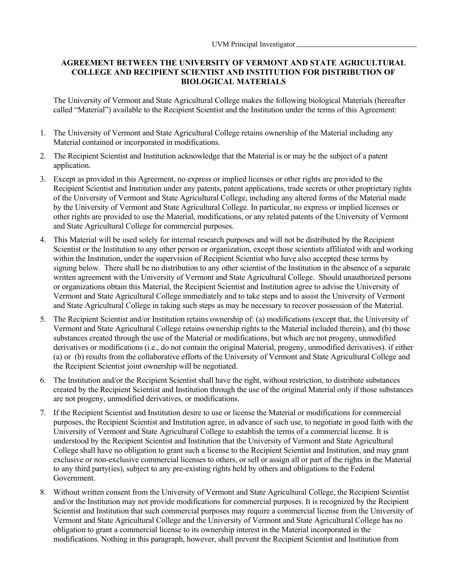## **AGREEMENT BETWEEN THE UNIVERSITY OF VERMONT AND STATE AGRICULTURAL COLLEGE AND RECIPIENT SCIENTIST AND INSTITUTION FOR DISTRIBUTION OF BIOLOGICAL MATERIALS**

The University of Vermont and State Agricultural College makes the following biological Materials (hereafter called "Material") available to the Recipient Scientist and the Institution under the terms of this Agreement:

- 1. The University of Vermont and State Agricultural College retains ownership of the Material including any Material contained or incorporated in modifications.
- 2. The Recipient Scientist and Institution acknowledge that the Material is or may be the subject of a patent application.
- 3. Except as provided in this Agreement, no express or implied licenses or other rights are provided to the Recipient Scientist and Institution under any patents, patent applications, trade secrets or other proprietary rights of the University of Vermont and State Agricultural College, including any altered forms of the Material made by the University of Vermont and State Agricultural College. In particular, no express or implied licenses or other rights are provided to use the Material, modifications, or any related patents of the University of Vermont and State Agricultural College for commercial purposes.
- 4. This Material will be used solely for internal research purposes and will not be distributed by the Recipient Scientist or the Institution to any other person or organization, except those scientists affiliated with and working within the Institution, under the supervision of Recipient Scientist who have also accepted these terms by signing below. There shall be no distribution to any other scientist of the Institution in the absence of a separate written agreement with the University of Vermont and State Agricultural College. Should unauthorized persons or organizations obtain this Material, the Recipient Scientist and Institution agree to advise the University of Vermont and State Agricultural College immediately and to take steps and to assist the University of Vermont and State Agricultural College in taking such steps as may be necessary to recover possession of the Material.
- 5. The Recipient Scientist and/or Institution retains ownership of: (a) modifications (except that, the University of Vermont and State Agricultural College retains ownership rights to the Material included therein), and (b) those substances created through the use of the Material or modifications, but which are not progeny, unmodified derivatives or modifications (i.e., do not contain the original Material, progeny, unmodified derivatives). if either (a) or (b) results from the collaborative efforts of the University of Vermont and State Agricultural College and the Recipient Scientist joint ownership will be negotiated.
- 6. The Institution and/or the Recipient Scientist shall have the right, without restriction, to distribute substances created by the Recipient Scientist and Institution through the use of the original Material only if those substances are not progeny, unmodified derivatives, or modifications.
- 7. If the Recipient Scientist and Institution desire to use or license the Material or modifications for commercial purposes, the Recipient Scientist and Institution agree, in advance of such use, to negotiate in good faith with the University of Vermont and State Agricultural College to establish the terms of a commercial license. It is understood by the Recipient Scientist and Institution that the University of Vermont and State Agricultural College shall have no obligation to grant such a license to the Recipient Scientist and Institution, and may grant exclusive or non-exclusive commercial licenses to others, or sell or assign all or part of the rights in the Material to any third party(ies), subject to any pre-existing rights held by others and obligations to the Federal Government.
- 8. Without written consent from the University of Vermont and State Agricultural College, the Recipient Scientist and/or the Institution may not provide modifications for commercial purposes. It is recognized by the Recipient Scientist and Institution that such commercial purposes may require a commercial license from the University of Vermont and State Agricultural College and the University of Vermont and State Agricultural College has no obligation to grant a commercial license to its ownership interest in the Material incorporated in the modifications. Nothing in this paragraph, however, shall prevent the Recipient Scientist and Institution from